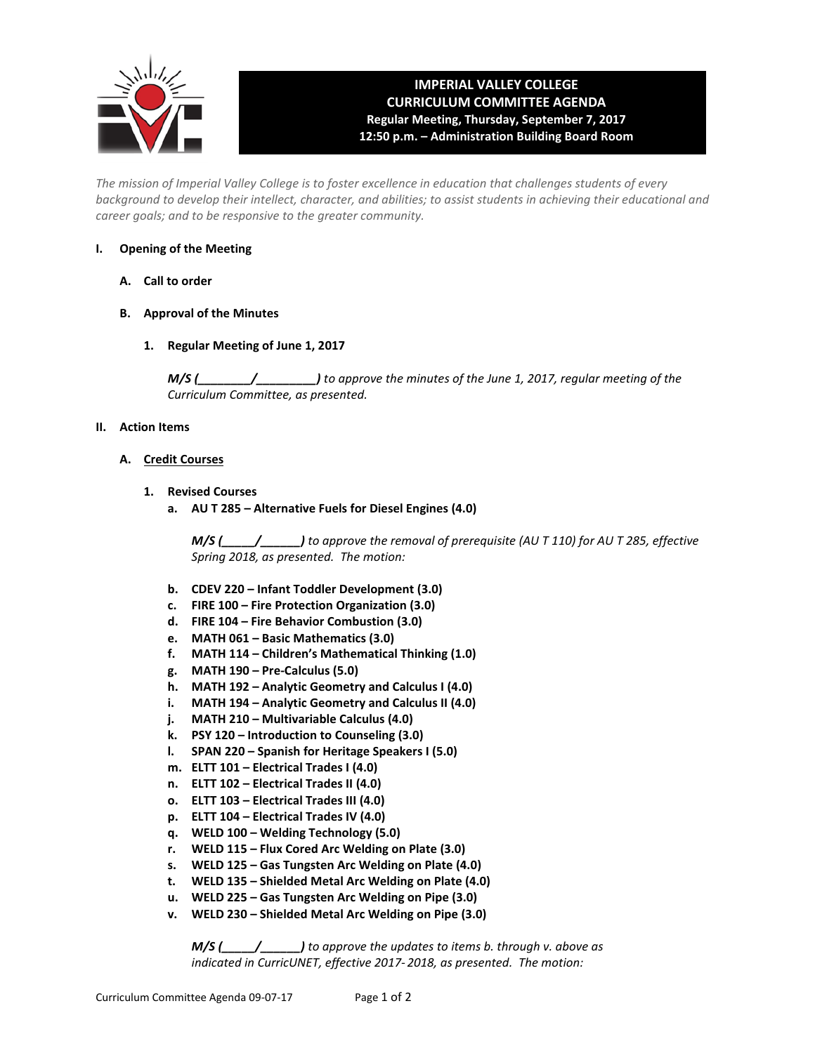

## **IMPERIAL VALLEY COLLEGE CURRICULUM COMMITTEE AGENDA Regular Meeting, Thursday, September 7, 2017 12:50 p.m. – Administration Building Board Room**

*The mission of Imperial Valley College is to foster excellence in education that challenges students of every background to develop their intellect, character, and abilities; to assist students in achieving their educational and career goals; and to be responsive to the greater community.*

## **I. Opening of the Meeting**

- **A. Call to order**
- **B. Approval of the Minutes**
	- **1. Regular Meeting of June 1, 2017**

*M/S (\_\_\_\_\_\_\_\_/\_\_\_\_\_\_\_\_\_) to approve the minutes of the June 1, 2017, regular meeting of the Curriculum Committee, as presented.* 

## **II. Action Items**

- **A. Credit Courses**
	- **1. Revised Courses**
		- **a. AU T 285 – Alternative Fuels for Diesel Engines (4.0)**

*M/S (\_\_\_\_\_/\_\_\_\_\_\_) to approve the removal of prerequisite (AU T 110) for AU T 285, effective Spring 2018, as presented. The motion:*

- **b. CDEV 220 – Infant Toddler Development (3.0)**
- **c. FIRE 100 – Fire Protection Organization (3.0)**
- **d. FIRE 104 – Fire Behavior Combustion (3.0)**
- **e. MATH 061 – Basic Mathematics (3.0)**
- **f. MATH 114 – Children's Mathematical Thinking (1.0)**
- **g. MATH 190 – Pre-Calculus (5.0)**
- **h. MATH 192 – Analytic Geometry and Calculus I (4.0)**
- **i. MATH 194 – Analytic Geometry and Calculus II (4.0)**
- **j. MATH 210 – Multivariable Calculus (4.0)**
- **k. PSY 120 – Introduction to Counseling (3.0)**
- **l. SPAN 220 – Spanish for Heritage Speakers I (5.0)**
- **m. ELTT 101 – Electrical Trades I (4.0)**
- **n. ELTT 102 – Electrical Trades II (4.0)**
- **o. ELTT 103 – Electrical Trades III (4.0)**
- **p. ELTT 104 – Electrical Trades IV (4.0)**
- **q. WELD 100 – Welding Technology (5.0)**
- **r. WELD 115 – Flux Cored Arc Welding on Plate (3.0)**
- **s. WELD 125 – Gas Tungsten Arc Welding on Plate (4.0)**
- **t. WELD 135 – Shielded Metal Arc Welding on Plate (4.0)**
- **u. WELD 225 – Gas Tungsten Arc Welding on Pipe (3.0)**
- **v. WELD 230 – Shielded Metal Arc Welding on Pipe (3.0)**

*M/S (\_\_\_\_\_/\_\_\_\_\_\_) to approve the updates to items b. through v. above as indicated in CurricUNET, effective 2017- 2018, as presented. The motion:*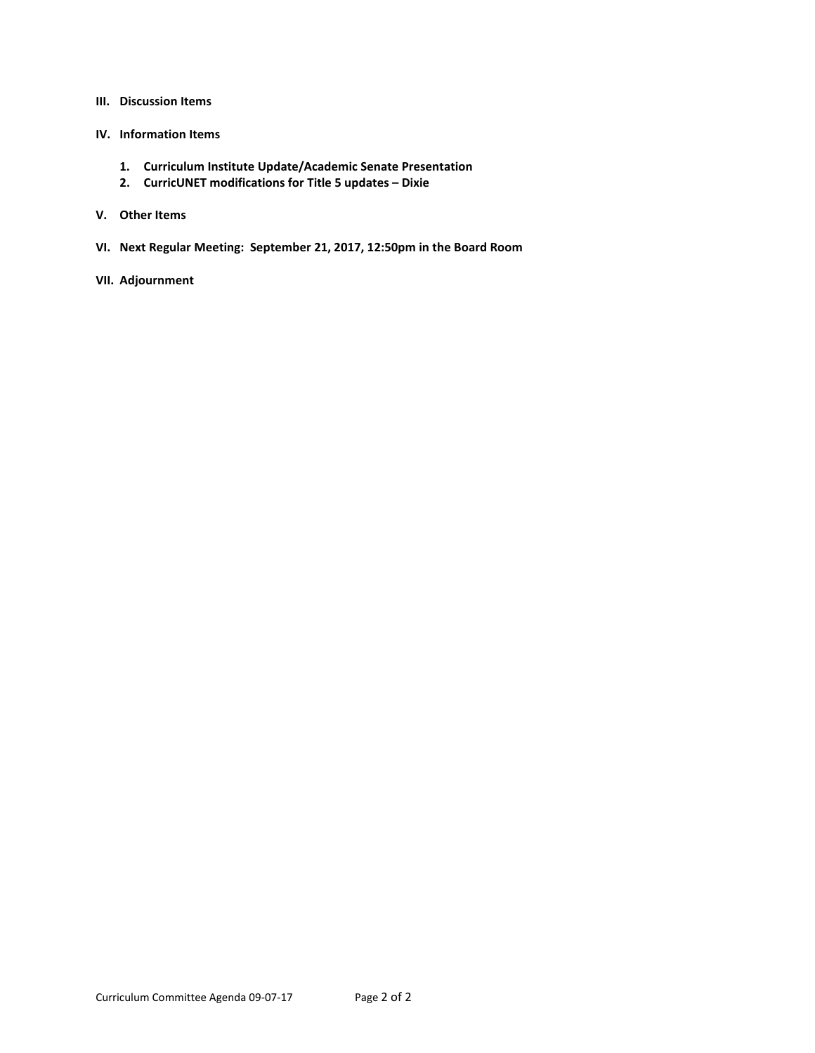#### **III. Discussion Items**

- **IV. Information Items**
	- **1. Curriculum Institute Update/Academic Senate Presentation**
	- **2. CurricUNET modifications for Title 5 updates – Dixie**
- **V. Other Items**
- **VI. Next Regular Meeting: September 21, 2017, 12:50pm in the Board Room**
- **VII. Adjournment**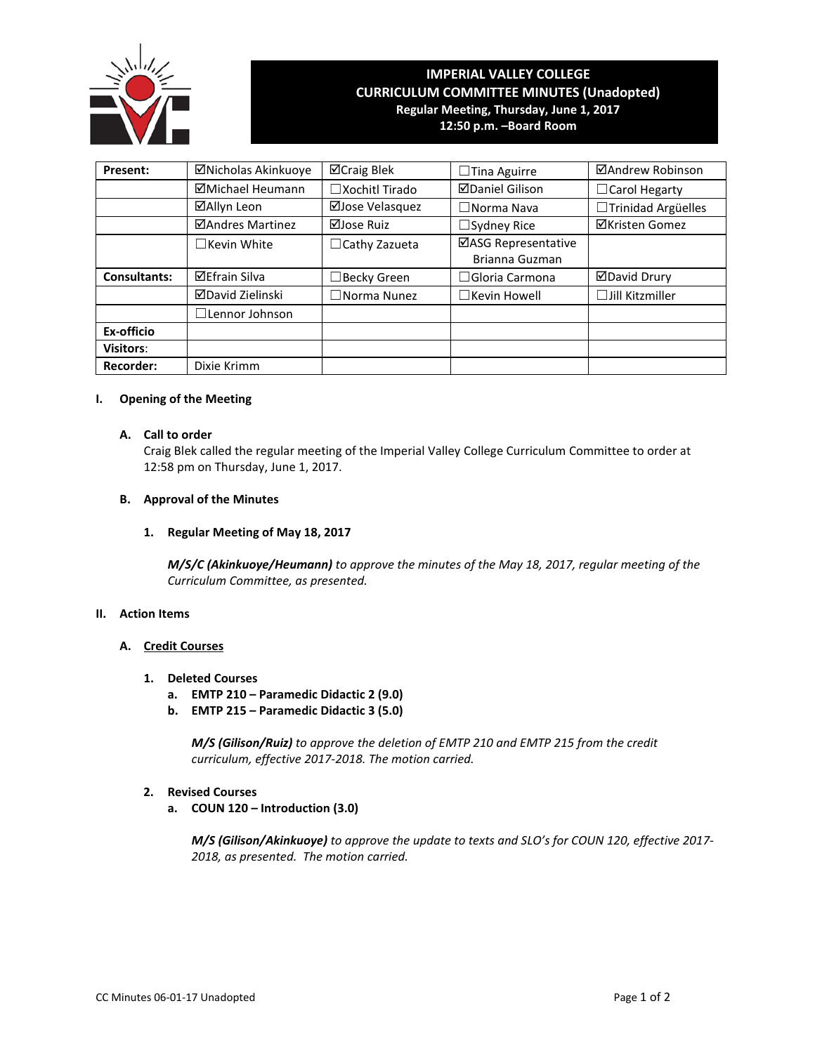

# **IMPERIAL VALLEY COLLEGE CURRICULUM COMMITTEE MINUTES (Unadopted) Regular Meeting, Thursday, June 1, 2017**

**12:50 p.m. –Board Room**

| Present:            | ⊠Nicholas Akinkuoye     | ⊠Craig Blek              | $\Box$ Tina Aguirre                   | ⊠Andrew Robinson          |  |  |
|---------------------|-------------------------|--------------------------|---------------------------------------|---------------------------|--|--|
|                     | ⊠Michael Heumann        | $\square$ Xochitl Tirado | <b>ØDaniel Gilison</b>                | $\Box$ Carol Hegarty      |  |  |
|                     | ⊠Allyn Leon             | ⊠Jose Velasquez          | $\Box$ Norma Nava                     | □Trinidad Argüelles       |  |  |
|                     | ⊠Andres Martinez        | ⊠Jose Ruiz               | $\Box$ Sydney Rice                    | ⊠Kristen Gomez            |  |  |
|                     | $\Box$ Kevin White      | $\Box$ Cathy Zazueta     | ⊠ASG Representative<br>Brianna Guzman |                           |  |  |
| <b>Consultants:</b> | <b>⊠Efrain Silva</b>    | $\Box$ Becky Green       | $\Box$ Gloria Carmona                 | <b>ØDavid Drury</b>       |  |  |
|                     | <b>⊠David Zielinski</b> | $\Box$ Norma Nunez       | $\Box$ Kevin Howell                   | $\square$ Jill Kitzmiller |  |  |
|                     | $\Box$ Lennor Johnson   |                          |                                       |                           |  |  |
| Ex-officio          |                         |                          |                                       |                           |  |  |
| <b>Visitors:</b>    |                         |                          |                                       |                           |  |  |
| <b>Recorder:</b>    | Dixie Krimm             |                          |                                       |                           |  |  |

### **I. Opening of the Meeting**

## **A. Call to order**

Craig Blek called the regular meeting of the Imperial Valley College Curriculum Committee to order at 12:58 pm on Thursday, June 1, 2017.

## **B. Approval of the Minutes**

### **1. Regular Meeting of May 18, 2017**

*M/S/C (Akinkuoye/Heumann) to approve the minutes of the May 18, 2017, regular meeting of the Curriculum Committee, as presented.* 

### **II. Action Items**

### **A. Credit Courses**

- **1. Deleted Courses**
	- **a. EMTP 210 – Paramedic Didactic 2 (9.0)**
	- **b. EMTP 215 – Paramedic Didactic 3 (5.0)**

*M/S (Gilison/Ruiz) to approve the deletion of EMTP 210 and EMTP 215 from the credit curriculum, effective 2017-2018. The motion carried.*

## **2. Revised Courses**

**a. COUN 120 – Introduction (3.0)**

*M/S (Gilison/Akinkuoye) to approve the update to texts and SLO's for COUN 120, effective 2017- 2018, as presented. The motion carried.*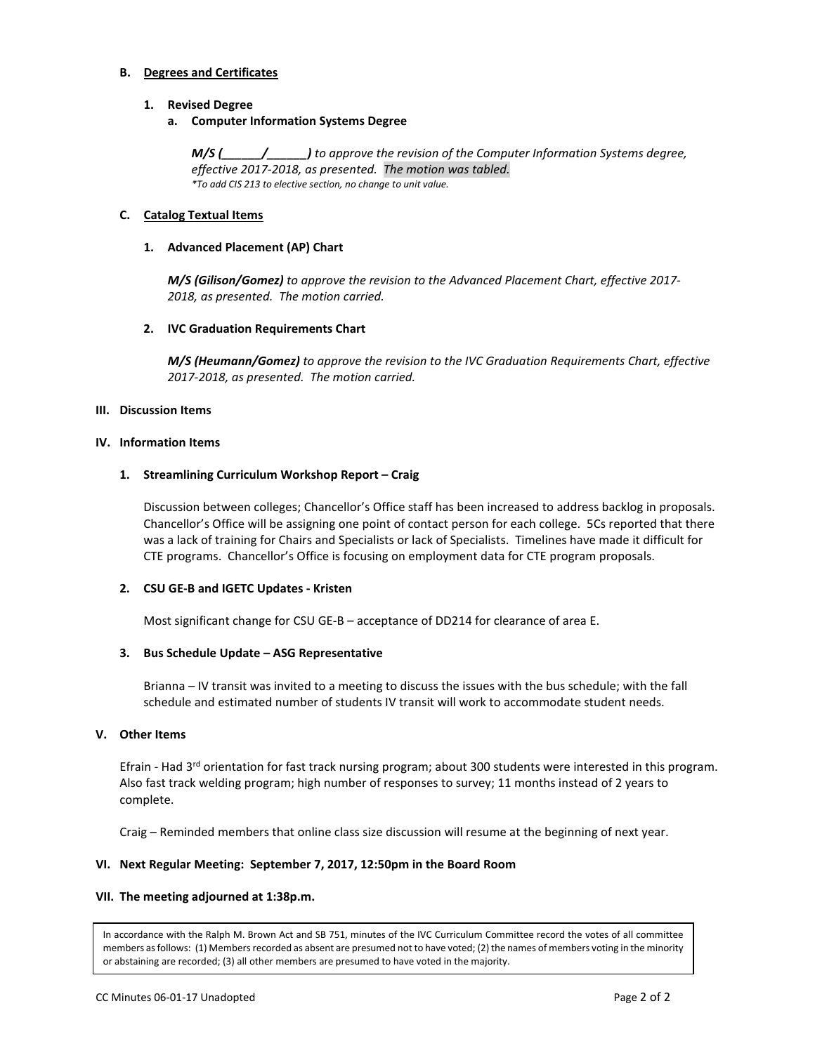## **B. Degrees and Certificates**

## **1. Revised Degree**

## **a. Computer Information Systems Degree**

*M/S (\_\_\_\_\_\_/\_\_\_\_\_\_) to approve the revision of the Computer Information Systems degree, effective 2017-2018, as presented. The motion was tabled. \*To add CIS 213 to elective section, no change to unit value.*

## **C. Catalog Textual Items**

## **1. Advanced Placement (AP) Chart**

*M/S (Gilison/Gomez) to approve the revision to the Advanced Placement Chart, effective 2017- 2018, as presented. The motion carried.*

## **2. IVC Graduation Requirements Chart**

*M/S (Heumann/Gomez) to approve the revision to the IVC Graduation Requirements Chart, effective 2017-2018, as presented. The motion carried.*

## **III. Discussion Items**

## **IV. Information Items**

## **1. Streamlining Curriculum Workshop Report – Craig**

Discussion between colleges; Chancellor's Office staff has been increased to address backlog in proposals. Chancellor's Office will be assigning one point of contact person for each college. 5Cs reported that there was a lack of training for Chairs and Specialists or lack of Specialists. Timelines have made it difficult for CTE programs. Chancellor's Office is focusing on employment data for CTE program proposals.

## **2. CSU GE-B and IGETC Updates - Kristen**

Most significant change for CSU GE-B – acceptance of DD214 for clearance of area E.

### **3. Bus Schedule Update – ASG Representative**

Brianna – IV transit was invited to a meeting to discuss the issues with the bus schedule; with the fall schedule and estimated number of students IV transit will work to accommodate student needs.

## **V. Other Items**

Efrain - Had 3<sup>rd</sup> orientation for fast track nursing program; about 300 students were interested in this program. Also fast track welding program; high number of responses to survey; 11 months instead of 2 years to complete.

Craig – Reminded members that online class size discussion will resume at the beginning of next year.

## **VI. Next Regular Meeting: September 7, 2017, 12:50pm in the Board Room**

### **VII. The meeting adjourned at 1:38p.m.**

In accordance with the Ralph M. Brown Act and SB 751, minutes of the IVC Curriculum Committee record the votes of all committee members as follows: (1) Members recorded as absent are presumed not to have voted; (2) the names of members voting in the minority or abstaining are recorded; (3) all other members are presumed to have voted in the majority.